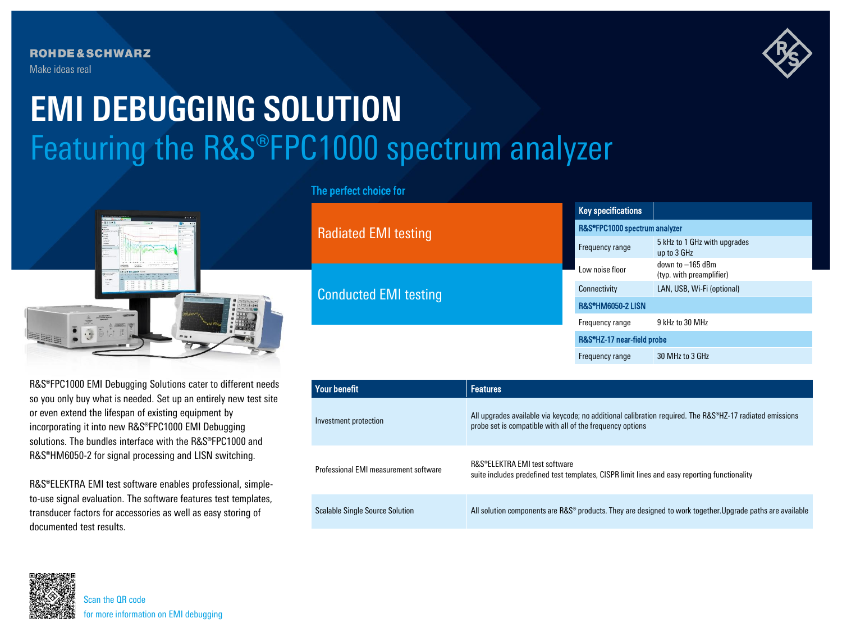**ROHDE&SCHWARZ** Make ideas real



# Featuring the R&S®FPC1000 spectrum analyzer **EMI DEBUGGING SOLUTION**



R&S®FPC1000 EMI Debugging Solutions cater to different needs so you only buy what is needed. Set up an entirely new test site or even extend the lifespan of existing equipment by incorporating it into new R&S®FPC1000 EMI Debugging solutions. The bundles interface with the R&S®FPC1000 and R&S®HM6050-2 for signal processing and LISN switching.

R&S®ELEKTRA EMI test software enables professional, simpleto-use signal evaluation. The software features test templates, transducer factors for accessories as well as easy storing of documented test results.

## The perfect choice for

|                              | <b>Key specifications</b>     |                                                |
|------------------------------|-------------------------------|------------------------------------------------|
| <b>Radiated EMI testing</b>  | R&S®FPC1000 spectrum analyzer |                                                |
|                              | Frequency range               | 5 kHz to 1 GHz with upgrades<br>up to 3 GHz    |
| <b>Conducted EMI testing</b> | Low noise floor               | $down to -165$ dBm<br>(typ. with preamplifier) |
|                              | Connectivity                  | LAN, USB, Wi-Fi (optional)                     |
|                              | <b>R&amp;S®HM6050-2 LISN</b>  |                                                |
|                              | Frequency range               | 9 kHz to 30 MHz                                |
| R&S®HZ-17 near-field probe   |                               |                                                |
|                              | Frequency range               | 30 MHz to 3 GHz                                |
|                              |                               |                                                |

| <b>Your benefit</b>                    | <b>Features</b>                                                                                                                                                                |
|----------------------------------------|--------------------------------------------------------------------------------------------------------------------------------------------------------------------------------|
| Investment protection                  | All upgrades available via keycode; no additional calibration required. The $RAS^{\circ}HZ-17$ radiated emissions<br>probe set is compatible with all of the frequency options |
| Professional EMI measurement software  | R&S®ELEKTRA EMI test software<br>suite includes predefined test templates, CISPR limit lines and easy reporting functionality                                                  |
| <b>Scalable Single Source Solution</b> | All solution components are R&S® products. They are designed to work together. Upgrade paths are available                                                                     |